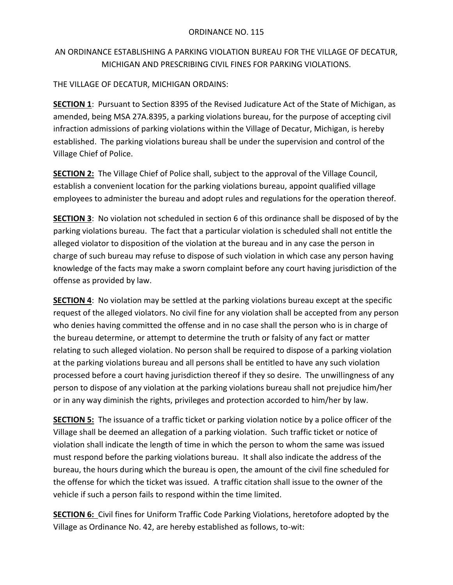## AN ORDINANCE ESTABLISHING A PARKING VIOLATION BUREAU FOR THE VILLAGE OF DECATUR, MICHIGAN AND PRESCRIBING CIVIL FINES FOR PARKING VIOLATIONS.

## THE VILLAGE OF DECATUR, MICHIGAN ORDAINS:

**SECTION 1**: Pursuant to Section 8395 of the Revised Judicature Act of the State of Michigan, as amended, being MSA 27A.8395, a parking violations bureau, for the purpose of accepting civil infraction admissions of parking violations within the Village of Decatur, Michigan, is hereby established. The parking violations bureau shall be under the supervision and control of the Village Chief of Police.

**SECTION 2:** The Village Chief of Police shall, subject to the approval of the Village Council, establish a convenient location for the parking violations bureau, appoint qualified village employees to administer the bureau and adopt rules and regulations for the operation thereof.

**SECTION 3**: No violation not scheduled in section 6 of this ordinance shall be disposed of by the parking violations bureau. The fact that a particular violation is scheduled shall not entitle the alleged violator to disposition of the violation at the bureau and in any case the person in charge of such bureau may refuse to dispose of such violation in which case any person having knowledge of the facts may make a sworn complaint before any court having jurisdiction of the offense as provided by law.

**SECTION 4:** No violation may be settled at the parking violations bureau except at the specific request of the alleged violators. No civil fine for any violation shall be accepted from any person who denies having committed the offense and in no case shall the person who is in charge of the bureau determine, or attempt to determine the truth or falsity of any fact or matter relating to such alleged violation. No person shall be required to dispose of a parking violation at the parking violations bureau and all persons shall be entitled to have any such violation processed before a court having jurisdiction thereof if they so desire. The unwillingness of any person to dispose of any violation at the parking violations bureau shall not prejudice him/her or in any way diminish the rights, privileges and protection accorded to him/her by law.

**SECTION 5:** The issuance of a traffic ticket or parking violation notice by a police officer of the Village shall be deemed an allegation of a parking violation. Such traffic ticket or notice of violation shall indicate the length of time in which the person to whom the same was issued must respond before the parking violations bureau. It shall also indicate the address of the bureau, the hours during which the bureau is open, the amount of the civil fine scheduled for the offense for which the ticket was issued. A traffic citation shall issue to the owner of the vehicle if such a person fails to respond within the time limited.

**SECTION 6:** Civil fines for Uniform Traffic Code Parking Violations, heretofore adopted by the Village as Ordinance No. 42, are hereby established as follows, to-wit: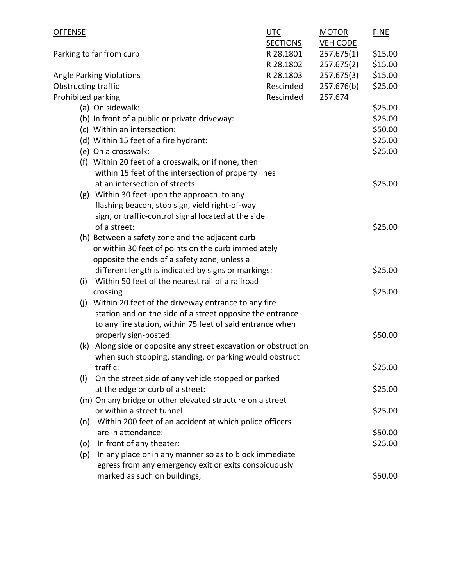| OFFENSE                                            |                                                                 | UTC             | <b>MOTOR</b>    | <b>FINE</b> |
|----------------------------------------------------|-----------------------------------------------------------------|-----------------|-----------------|-------------|
|                                                    |                                                                 | <b>SECTIONS</b> | <b>VEH CODE</b> |             |
| R 28.1801<br>Parking to far from curb<br>R 28.1802 |                                                                 |                 | 257.675(1)      | \$15.00     |
|                                                    |                                                                 |                 | 257.675(2)      | \$15.00     |
|                                                    | <b>Angle Parking Violations</b>                                 | R 28.1803       | 257.675(3)      | \$15.00     |
| Obstructing traffic                                |                                                                 | Rescinded       | 257.676(b)      | \$25.00     |
| Prohibited parking                                 |                                                                 | Rescinded       | 257.674         |             |
|                                                    | (a) On sidewalk:                                                |                 |                 | \$25.00     |
|                                                    | (b) In front of a public or private driveway:                   |                 |                 | \$25.00     |
|                                                    | (c) Within an intersection:                                     |                 |                 | \$50.00     |
|                                                    | (d) Within 15 feet of a fire hydrant:                           |                 |                 | \$25.00     |
|                                                    | (e) On a crosswalk:                                             |                 |                 | \$25.00     |
|                                                    | (f) Within 20 feet of a crosswalk, or if none, then             |                 |                 |             |
|                                                    | within 15 feet of the intersection of property lines            |                 |                 |             |
|                                                    | at an intersection of streets:                                  |                 |                 | \$25.00     |
|                                                    | (g) Within 30 feet upon the approach to any                     |                 |                 |             |
|                                                    | flashing beacon, stop sign, yield right-of-way                  |                 |                 |             |
|                                                    | sign, or traffic-control signal located at the side             |                 |                 |             |
|                                                    | of a street:                                                    |                 |                 | \$25.00     |
|                                                    | (h) Between a safety zone and the adjacent curb                 |                 |                 |             |
|                                                    | or within 30 feet of points on the curb immediately             |                 |                 |             |
|                                                    | opposite the ends of a safety zone, unless a                    |                 |                 |             |
|                                                    | different length is indicated by signs or markings:             |                 |                 | \$25.00     |
| (i)                                                | Within 50 feet of the nearest rail of a railroad                |                 |                 |             |
|                                                    | crossing                                                        |                 |                 | \$25.00     |
| (i)                                                | Within 20 feet of the driveway entrance to any fire             |                 |                 |             |
|                                                    | station and on the side of a street opposite the entrance       |                 |                 |             |
|                                                    | to any fire station, within 75 feet of said entrance when       |                 |                 |             |
|                                                    | properly sign-posted:                                           |                 |                 | \$50.00     |
|                                                    | (k) Along side or opposite any street excavation or obstruction |                 |                 |             |
|                                                    | when such stopping, standing, or parking would obstruct         |                 |                 |             |
|                                                    | traffic:                                                        |                 |                 | \$25.00     |
| (1)                                                | On the street side of any vehicle stopped or parked             |                 |                 |             |
|                                                    | at the edge or curb of a street:                                |                 |                 | \$25.00     |
|                                                    | (m) On any bridge or other elevated structure on a street       |                 |                 |             |
|                                                    | or within a street tunnel:                                      |                 |                 | \$25.00     |
|                                                    | (n) Within 200 feet of an accident at which police officers     |                 |                 |             |
|                                                    | are in attendance:                                              |                 |                 | \$50.00     |
|                                                    |                                                                 |                 |                 |             |
| (o)                                                | In front of any theater:                                        |                 |                 | \$25.00     |
| (p)                                                | In any place or in any manner so as to block immediate          |                 |                 |             |
|                                                    | egress from any emergency exit or exits conspicuously           |                 |                 |             |
|                                                    | marked as such on buildings;                                    |                 |                 | \$50.00     |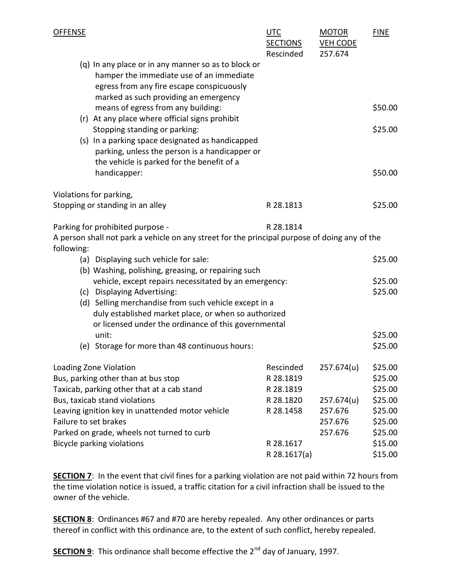| <b>OFFENSE</b>                                                                                                                                               |                                                                                                                                                                                       | <b>UTC</b><br><b>SECTIONS</b><br>Rescinded | <b>MOTOR</b><br><b>VEH CODE</b><br>257.674 | <b>FINE</b>        |
|--------------------------------------------------------------------------------------------------------------------------------------------------------------|---------------------------------------------------------------------------------------------------------------------------------------------------------------------------------------|--------------------------------------------|--------------------------------------------|--------------------|
|                                                                                                                                                              | (q) In any place or in any manner so as to block or<br>hamper the immediate use of an immediate<br>egress from any fire escape conspicuously<br>marked as such providing an emergency |                                            |                                            |                    |
|                                                                                                                                                              | means of egress from any building:<br>(r) At any place where official signs prohibit                                                                                                  |                                            |                                            | \$50.00            |
|                                                                                                                                                              | Stopping standing or parking:<br>(s) In a parking space designated as handicapped<br>parking, unless the person is a handicapper or<br>the vehicle is parked for the benefit of a     |                                            |                                            | \$25.00            |
|                                                                                                                                                              | handicapper:                                                                                                                                                                          |                                            |                                            | \$50.00            |
|                                                                                                                                                              | Violations for parking,                                                                                                                                                               |                                            |                                            |                    |
|                                                                                                                                                              | Stopping or standing in an alley                                                                                                                                                      | R 28.1813                                  |                                            | \$25.00            |
| Parking for prohibited purpose -<br>R 28.1814<br>A person shall not park a vehicle on any street for the principal purpose of doing any of the<br>following: |                                                                                                                                                                                       |                                            |                                            |                    |
|                                                                                                                                                              | (a) Displaying such vehicle for sale:                                                                                                                                                 |                                            |                                            | \$25.00            |
|                                                                                                                                                              | (b) Washing, polishing, greasing, or repairing such                                                                                                                                   |                                            |                                            |                    |
|                                                                                                                                                              | vehicle, except repairs necessitated by an emergency:<br>(c) Displaying Advertising:                                                                                                  |                                            |                                            | \$25.00<br>\$25.00 |
|                                                                                                                                                              | (d) Selling merchandise from such vehicle except in a                                                                                                                                 |                                            |                                            |                    |
|                                                                                                                                                              | duly established market place, or when so authorized                                                                                                                                  |                                            |                                            |                    |
|                                                                                                                                                              | or licensed under the ordinance of this governmental                                                                                                                                  |                                            |                                            |                    |
|                                                                                                                                                              | unit:<br>(e) Storage for more than 48 continuous hours:                                                                                                                               |                                            |                                            | \$25.00<br>\$25.00 |
|                                                                                                                                                              |                                                                                                                                                                                       |                                            |                                            |                    |
| Loading Zone Violation                                                                                                                                       |                                                                                                                                                                                       | Rescinded                                  | 257.674(u)                                 | \$25.00            |
| Bus, parking other than at bus stop                                                                                                                          |                                                                                                                                                                                       | R 28.1819                                  |                                            | \$25.00            |
| Taxicab, parking other that at a cab stand                                                                                                                   |                                                                                                                                                                                       | R 28.1819                                  |                                            | \$25.00            |
| Bus, taxicab stand violations                                                                                                                                |                                                                                                                                                                                       | R 28.1820                                  | 257.674(u)                                 | \$25.00            |
| Leaving ignition key in unattended motor vehicle                                                                                                             |                                                                                                                                                                                       | R 28.1458                                  | 257.676                                    | \$25.00            |
| Failure to set brakes                                                                                                                                        |                                                                                                                                                                                       |                                            | 257.676                                    | \$25.00            |
| Parked on grade, wheels not turned to curb                                                                                                                   |                                                                                                                                                                                       |                                            | 257.676                                    | \$25.00            |
| <b>Bicycle parking violations</b>                                                                                                                            |                                                                                                                                                                                       | R 28.1617                                  |                                            | \$15.00            |
|                                                                                                                                                              |                                                                                                                                                                                       | R 28.1617(a)                               |                                            | \$15.00            |

**SECTION 7:** In the event that civil fines for a parking violation are not paid within 72 hours from the time violation notice is issued, a traffic citation for a civil infraction shall be issued to the owner of the vehicle.

**SECTION 8**: Ordinances #67 and #70 are hereby repealed. Any other ordinances or parts thereof in conflict with this ordinance are, to the extent of such conflict, hereby repealed.

SECTION 9: This ordinance shall become effective the 2<sup>nd</sup> day of January, 1997.